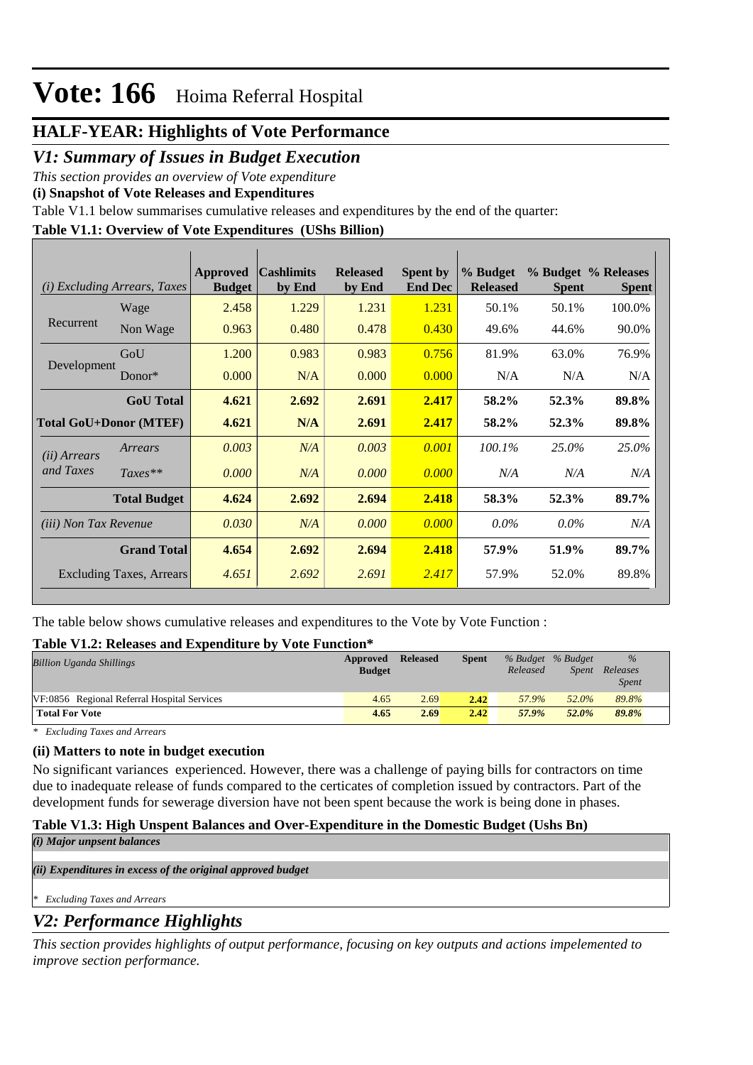### **HALF-YEAR: Highlights of Vote Performance**

### *V1: Summary of Issues in Budget Execution*

*This section provides an overview of Vote expenditure* 

**(i) Snapshot of Vote Releases and Expenditures**

Table V1.1 below summarises cumulative releases and expenditures by the end of the quarter:

### **Table V1.1: Overview of Vote Expenditures (UShs Billion)**

|                               | ( <i>i</i> ) Excluding Arrears, Taxes | Approved<br><b>Budget</b> | <b>Cashlimits</b><br>by End | <b>Released</b><br>by End | <b>Spent by</b><br><b>End Dec</b> | % Budget<br><b>Released</b> | <b>Spent</b> | % Budget % Releases<br><b>Spent</b> |
|-------------------------------|---------------------------------------|---------------------------|-----------------------------|---------------------------|-----------------------------------|-----------------------------|--------------|-------------------------------------|
|                               | Wage                                  | 2.458                     | 1.229                       | 1.231                     | 1.231                             | 50.1%                       | 50.1%        | 100.0%                              |
| Recurrent                     | Non Wage                              | 0.963                     | 0.480                       | 0.478                     | 0.430                             | 49.6%                       | 44.6%        | 90.0%                               |
|                               | GoU                                   | 1.200                     | 0.983                       | 0.983                     | 0.756                             | 81.9%                       | 63.0%        | 76.9%                               |
| Development                   | Donor $*$                             | 0.000                     | N/A                         | 0.000                     | 0.000                             | N/A                         | N/A          | N/A                                 |
|                               | <b>GoU</b> Total                      | 4.621                     | 2.692                       | 2.691                     | 2.417                             | 58.2%                       | 52.3%        | 89.8%                               |
| <b>Total GoU+Donor (MTEF)</b> |                                       | 4.621                     | N/A                         | 2.691                     | 2.417                             | 58.2%                       | 52.3%        | 89.8%                               |
| ( <i>ii</i> ) Arrears         | Arrears                               | 0.003                     | N/A                         | 0.003                     | 0.001                             | 100.1%                      | 25.0%        | 25.0%                               |
| and Taxes                     | $Taxes**$                             | 0.000                     | N/A                         | 0.000                     | 0.000                             | N/A                         | N/A          | N/A                                 |
|                               | <b>Total Budget</b>                   | 4.624                     | 2.692                       | 2.694                     | 2.418                             | 58.3%                       | 52.3%        | 89.7%                               |
| <i>(iii)</i> Non Tax Revenue  |                                       | 0.030                     | N/A                         | 0.000                     | 0.000                             | $0.0\%$                     | $0.0\%$      | N/A                                 |
|                               | <b>Grand Total</b>                    | 4.654                     | 2.692                       | 2.694                     | 2.418                             | 57.9%                       | 51.9%        | 89.7%                               |
|                               | Excluding Taxes, Arrears              | 4.651                     | 2.692                       | 2.691                     | 2.417                             | 57.9%                       | 52.0%        | 89.8%                               |

The table below shows cumulative releases and expenditures to the Vote by Vote Function :

#### **Table V1.2: Releases and Expenditure by Vote Function\***

| <b>Billion Uganda Shillings</b>             | Approved<br><b>Budget</b> | <b>Released</b> | <b>Spent</b> | % Budget % Budget<br>Released | Spent | $\%$<br>Releases<br><b>Spent</b> |
|---------------------------------------------|---------------------------|-----------------|--------------|-------------------------------|-------|----------------------------------|
| VF:0856 Regional Referral Hospital Services | 4.65                      | 2.69            | 2.42         | 57.9%                         | 52.0% | 89.8%                            |
| <b>Total For Vote</b>                       | 4.65                      | 2.69            | 2.42         | 57.9%                         | 52.0% | 89.8%                            |

*\* Excluding Taxes and Arrears*

#### **(ii) Matters to note in budget execution**

No significant variances experienced. However, there was a challenge of paying bills for contractors on time due to inadequate release of funds compared to the certicates of completion issued by contractors. Part of the development funds for sewerage diversion have not been spent because the work is being done in phases.

### **Table V1.3: High Unspent Balances and Over-Expenditure in the Domestic Budget (Ushs Bn)**

*(i) Major unpsent balances*

*(ii) Expenditures in excess of the original approved budget*

*\* Excluding Taxes and Arrears*

## *V2: Performance Highlights*

*This section provides highlights of output performance, focusing on key outputs and actions impelemented to improve section performance.*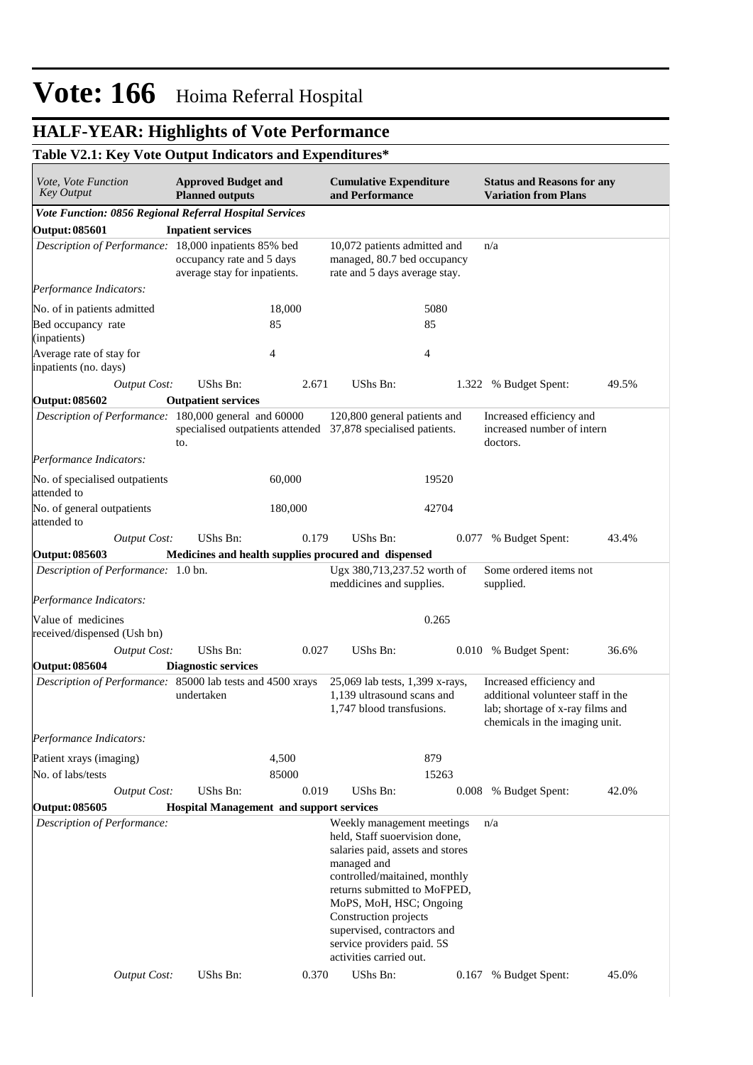## **HALF-YEAR: Highlights of Vote Performance**

### **Table V2.1: Key Vote Output Indicators and Expenditures\***

| <i>Vote, Vote Function</i><br><b>Key Output</b>            | <b>Approved Budget and</b><br><b>Planned outputs</b>                 |                | <b>Cumulative Expenditure</b><br>and Performance                                                                                                                                                                                                                                                                            |       | <b>Status and Reasons for any</b><br><b>Variation from Plans</b>                                                                    |       |
|------------------------------------------------------------|----------------------------------------------------------------------|----------------|-----------------------------------------------------------------------------------------------------------------------------------------------------------------------------------------------------------------------------------------------------------------------------------------------------------------------------|-------|-------------------------------------------------------------------------------------------------------------------------------------|-------|
| Vote Function: 0856 Regional Referral Hospital Services    |                                                                      |                |                                                                                                                                                                                                                                                                                                                             |       |                                                                                                                                     |       |
| <b>Output: 085601</b>                                      | <b>Inpatient services</b>                                            |                |                                                                                                                                                                                                                                                                                                                             |       |                                                                                                                                     |       |
| Description of Performance: 18,000 inpatients 85% bed      | occupancy rate and 5 days<br>average stay for inpatients.            |                | 10,072 patients admitted and<br>managed, 80.7 bed occupancy<br>rate and 5 days average stay.                                                                                                                                                                                                                                |       | n/a                                                                                                                                 |       |
| Performance Indicators:                                    |                                                                      |                |                                                                                                                                                                                                                                                                                                                             |       |                                                                                                                                     |       |
| No. of in patients admitted                                |                                                                      | 18,000         |                                                                                                                                                                                                                                                                                                                             | 5080  |                                                                                                                                     |       |
| Bed occupancy rate<br>(inpatients)                         |                                                                      | 85             |                                                                                                                                                                                                                                                                                                                             | 85    |                                                                                                                                     |       |
| Average rate of stay for<br>inpatients (no. days)          |                                                                      | $\overline{4}$ |                                                                                                                                                                                                                                                                                                                             | 4     |                                                                                                                                     |       |
| <b>Output Cost:</b>                                        | <b>UShs Bn:</b>                                                      | 2.671          | UShs Bn:                                                                                                                                                                                                                                                                                                                    | 1.322 | % Budget Spent:                                                                                                                     | 49.5% |
| <b>Output: 085602</b>                                      | <b>Outpatient services</b>                                           |                |                                                                                                                                                                                                                                                                                                                             |       |                                                                                                                                     |       |
| Description of Performance: 180,000 general and 60000      | specialised outpatients attended 37,878 specialised patients.<br>to. |                | 120,800 general patients and                                                                                                                                                                                                                                                                                                |       | Increased efficiency and<br>increased number of intern<br>doctors.                                                                  |       |
| Performance Indicators:                                    |                                                                      |                |                                                                                                                                                                                                                                                                                                                             |       |                                                                                                                                     |       |
| No. of specialised outpatients<br>attended to              |                                                                      | 60,000         |                                                                                                                                                                                                                                                                                                                             | 19520 |                                                                                                                                     |       |
| No. of general outpatients<br>attended to                  |                                                                      | 180,000        |                                                                                                                                                                                                                                                                                                                             | 42704 |                                                                                                                                     |       |
| <b>Output Cost:</b>                                        | UShs Bn:                                                             | 0.179          | UShs Bn:                                                                                                                                                                                                                                                                                                                    | 0.077 | % Budget Spent:                                                                                                                     | 43.4% |
| <b>Output: 085603</b>                                      | Medicines and health supplies procured and dispensed                 |                |                                                                                                                                                                                                                                                                                                                             |       |                                                                                                                                     |       |
| Description of Performance: 1.0 bn.                        |                                                                      |                | Ugx 380,713,237.52 worth of<br>meddicines and supplies.                                                                                                                                                                                                                                                                     |       | Some ordered items not<br>supplied.                                                                                                 |       |
| Performance Indicators:                                    |                                                                      |                |                                                                                                                                                                                                                                                                                                                             |       |                                                                                                                                     |       |
| Value of medicines<br>received/dispensed (Ush bn)          |                                                                      |                |                                                                                                                                                                                                                                                                                                                             | 0.265 |                                                                                                                                     |       |
| <b>Output Cost:</b>                                        | UShs Bn:                                                             | 0.027          | UShs Bn:                                                                                                                                                                                                                                                                                                                    |       | 0.010 % Budget Spent:                                                                                                               | 36.6% |
| <b>Output: 085604</b>                                      | <b>Diagnostic services</b>                                           |                |                                                                                                                                                                                                                                                                                                                             |       |                                                                                                                                     |       |
| Description of Performance: 85000 lab tests and 4500 xrays | undertaken                                                           |                | 25,069 lab tests, 1,399 x-rays,<br>1,139 ultrasound scans and<br>1,747 blood transfusions.                                                                                                                                                                                                                                  |       | Increased efficiency and<br>additional volunteer staff in the<br>lab; shortage of x-ray films and<br>chemicals in the imaging unit. |       |
| Performance Indicators:                                    |                                                                      |                |                                                                                                                                                                                                                                                                                                                             |       |                                                                                                                                     |       |
| Patient xrays (imaging)                                    |                                                                      | 4,500          |                                                                                                                                                                                                                                                                                                                             | 879   |                                                                                                                                     |       |
| No. of labs/tests                                          |                                                                      | 85000          |                                                                                                                                                                                                                                                                                                                             | 15263 |                                                                                                                                     |       |
| <b>Output Cost:</b>                                        | UShs Bn:                                                             | 0.019          | UShs Bn:                                                                                                                                                                                                                                                                                                                    |       | 0.008 % Budget Spent:                                                                                                               | 42.0% |
| <b>Output: 085605</b>                                      | <b>Hospital Management and support services</b>                      |                |                                                                                                                                                                                                                                                                                                                             |       |                                                                                                                                     |       |
| Description of Performance:                                |                                                                      |                | Weekly management meetings<br>held, Staff suoervision done,<br>salaries paid, assets and stores<br>managed and<br>controlled/maitained, monthly<br>returns submitted to MoFPED,<br>MoPS, MoH, HSC; Ongoing<br>Construction projects<br>supervised, contractors and<br>service providers paid. 5S<br>activities carried out. |       | n/a                                                                                                                                 |       |
| <b>Output Cost:</b>                                        | UShs Bn:                                                             | 0.370          | UShs Bn:                                                                                                                                                                                                                                                                                                                    | 0.167 | % Budget Spent:                                                                                                                     | 45.0% |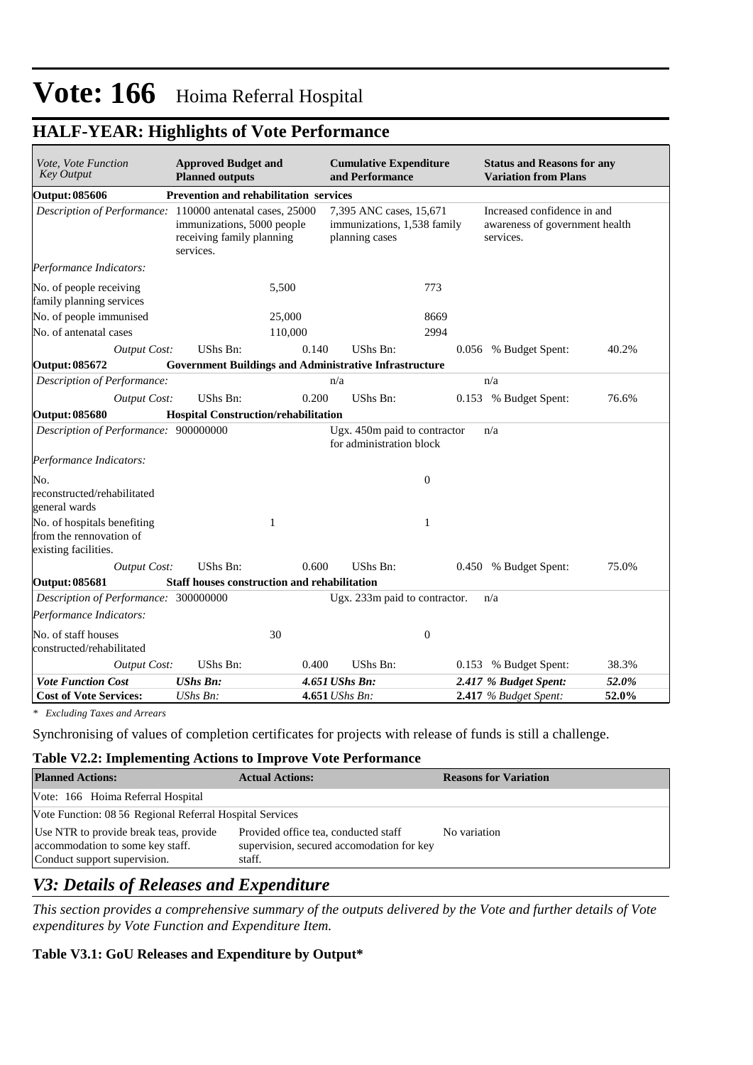| Vote, Vote Function<br><b>Key Output</b>                                       | <b>Approved Budget and</b><br><b>Planned outputs</b>                 |              | <b>Cumulative Expenditure</b><br>and Performance                         |                  | <b>Status and Reasons for any</b><br><b>Variation from Plans</b>           |       |  |
|--------------------------------------------------------------------------------|----------------------------------------------------------------------|--------------|--------------------------------------------------------------------------|------------------|----------------------------------------------------------------------------|-------|--|
| <b>Output: 085606</b>                                                          | Prevention and rehabilitation services                               |              |                                                                          |                  |                                                                            |       |  |
| Description of Performance: 110000 antenatal cases, 25000                      | immunizations, 5000 people<br>receiving family planning<br>services. |              | 7,395 ANC cases, 15,671<br>immunizations, 1,538 family<br>planning cases |                  | Increased confidence in and<br>awareness of government health<br>services. |       |  |
| Performance Indicators:                                                        |                                                                      |              |                                                                          |                  |                                                                            |       |  |
| No. of people receiving<br>family planning services                            |                                                                      | 5,500        |                                                                          | 773              |                                                                            |       |  |
| No. of people immunised                                                        |                                                                      | 25,000       |                                                                          | 8669             |                                                                            |       |  |
| No. of antenatal cases                                                         |                                                                      | 110,000      |                                                                          | 2994             |                                                                            |       |  |
| <b>Output Cost:</b>                                                            | UShs Bn:                                                             | 0.140        | UShs Bn:                                                                 |                  | 0.056 % Budget Spent:                                                      | 40.2% |  |
| Output: 085672                                                                 | <b>Government Buildings and Administrative Infrastructure</b>        |              |                                                                          |                  |                                                                            |       |  |
| Description of Performance:                                                    |                                                                      |              | n/a                                                                      |                  | n/a                                                                        |       |  |
| <b>Output Cost:</b>                                                            | <b>UShs Bn:</b>                                                      | 0.200        | UShs Bn:                                                                 |                  | 0.153 % Budget Spent:                                                      | 76.6% |  |
| <b>Output: 085680</b>                                                          | Hospital Construction/rehabilitation                                 |              |                                                                          |                  |                                                                            |       |  |
| Description of Performance: 900000000                                          |                                                                      |              | Ugx. 450m paid to contractor<br>for administration block                 |                  | n/a                                                                        |       |  |
| Performance Indicators:                                                        |                                                                      |              |                                                                          |                  |                                                                            |       |  |
| No.                                                                            |                                                                      |              |                                                                          | $\boldsymbol{0}$ |                                                                            |       |  |
| reconstructed/rehabilitated<br>general wards                                   |                                                                      |              |                                                                          |                  |                                                                            |       |  |
| No. of hospitals benefiting<br>from the rennovation of<br>existing facilities. |                                                                      | $\mathbf{1}$ |                                                                          | 1                |                                                                            |       |  |
| <b>Output Cost:</b>                                                            | <b>UShs Bn:</b>                                                      | 0.600        | UShs Bn:                                                                 |                  | 0.450 % Budget Spent:                                                      | 75.0% |  |
| <b>Output: 085681</b>                                                          | Staff houses construction and rehabilitation                         |              |                                                                          |                  |                                                                            |       |  |
| Description of Performance: 300000000                                          |                                                                      |              | Ugx. 233m paid to contractor.                                            |                  | n/a                                                                        |       |  |
| Performance Indicators:                                                        |                                                                      |              |                                                                          |                  |                                                                            |       |  |
| No. of staff houses<br>constructed/rehabilitated                               |                                                                      | 30           |                                                                          | $\boldsymbol{0}$ |                                                                            |       |  |
| <b>Output Cost:</b>                                                            | UShs Bn:                                                             | 0.400        | UShs Bn:                                                                 |                  | 0.153 % Budget Spent:                                                      | 38.3% |  |
| <b>Vote Function Cost</b>                                                      | <b>UShs Bn:</b>                                                      |              | 4.651 UShs Bn:                                                           |                  | 2.417 % Budget Spent:                                                      | 52.0% |  |
| <b>Cost of Vote Services:</b>                                                  | UShs Bn:                                                             |              | 4.651 UShs Bn:                                                           |                  | $2.417$ % Budget Spent:                                                    | 52.0% |  |

### **HALF-YEAR: Highlights of Vote Performance**

*\* Excluding Taxes and Arrears*

Synchronising of values of completion certificates for projects with release of funds is still a challenge.

#### **Table V2.2: Implementing Actions to Improve Vote Performance**

| <b>Planned Actions:</b>                                                                                    | <b>Actual Actions:</b>                                                                      | <b>Reasons for Variation</b> |  |  |  |
|------------------------------------------------------------------------------------------------------------|---------------------------------------------------------------------------------------------|------------------------------|--|--|--|
| Vote: 166 Hoima Referral Hospital                                                                          |                                                                                             |                              |  |  |  |
| Vote Function: 08 56 Regional Referral Hospital Services                                                   |                                                                                             |                              |  |  |  |
| Use NTR to provide break teas, provide<br>accommodation to some key staff.<br>Conduct support supervision. | Provided office tea, conducted staff<br>supervision, secured accomodation for key<br>staff. | No variation                 |  |  |  |

### *V3: Details of Releases and Expenditure*

*This section provides a comprehensive summary of the outputs delivered by the Vote and further details of Vote expenditures by Vote Function and Expenditure Item.*

**Table V3.1: GoU Releases and Expenditure by Output\***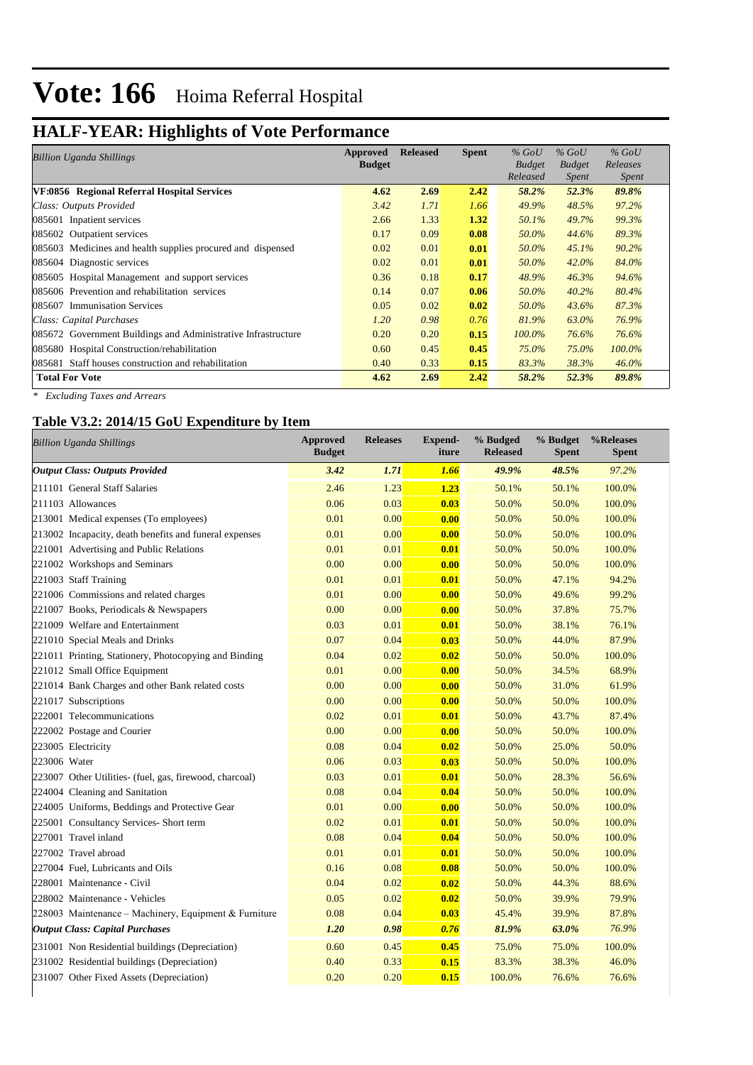# **HALF-YEAR: Highlights of Vote Performance**

| Billion Uganda Shillings                                      | Approved      | <b>Released</b> | <b>Spent</b> | $%$ GoU       | $%$ GoU       | $%$ GoU      |
|---------------------------------------------------------------|---------------|-----------------|--------------|---------------|---------------|--------------|
|                                                               | <b>Budget</b> |                 |              | <b>Budget</b> | <b>Budget</b> | Releases     |
|                                                               |               |                 |              | Released      | <i>Spent</i>  | <b>Spent</b> |
| VF:0856 Regional Referral Hospital Services                   | 4.62          | 2.69            | 2.42         | 58.2%         | 52.3%         | 89.8%        |
| Class: Outputs Provided                                       | 3.42          | 1.71            | 1.66         | 49.9%         | 48.5%         | 97.2%        |
| 085601 Inpatient services                                     | 2.66          | 1.33            | 1.32         | 50.1%         | 49.7%         | 99.3%        |
| 085602 Outpatient services                                    | 0.17          | 0.09            | 0.08         | 50.0%         | 44.6%         | 89.3%        |
| 085603 Medicines and health supplies procured and dispensed   | 0.02          | 0.01            | 0.01         | 50.0%         | 45.1%         | 90.2%        |
| 085604 Diagnostic services                                    | 0.02          | 0.01            | 0.01         | 50.0%         | $42.0\%$      | 84.0%        |
| 085605 Hospital Management and support services               | 0.36          | 0.18            | 0.17         | 48.9%         | 46.3%         | 94.6%        |
| 085606 Prevention and rehabilitation services                 | 0.14          | 0.07            | 0.06         | 50.0%         | 40.2%         | 80.4%        |
| 085607 Immunisation Services                                  | 0.05          | 0.02            | 0.02         | 50.0%         | 43.6%         | 87.3%        |
| Class: Capital Purchases                                      | 1.20          | 0.98            | 0.76         | 81.9%         | 63.0%         | 76.9%        |
| 085672 Government Buildings and Administrative Infrastructure | 0.20          | 0.20            | 0.15         | $100.0\%$     | 76.6%         | 76.6%        |
| 085680 Hospital Construction/rehabilitation                   | 0.60          | 0.45            | 0.45         | 75.0%         | 75.0%         | 100.0%       |
| 085681 Staff houses construction and rehabilitation           | 0.40          | 0.33            | 0.15         | 83.3%         | 38.3%         | $46.0\%$     |
| <b>Total For Vote</b>                                         | 4.62          | 2.69            | 2.42         | 58.2%         | 52.3%         | 89.8%        |

*\* Excluding Taxes and Arrears*

#### **Table V3.2: 2014/15 GoU Expenditure by Item**

| <b>Billion Uganda Shillings</b>                         | <b>Approved</b><br><b>Budget</b> | <b>Releases</b> | <b>Expend-</b><br>iture | % Budged<br><b>Released</b> | % Budget<br><b>Spent</b> | %Releases<br><b>Spent</b> |
|---------------------------------------------------------|----------------------------------|-----------------|-------------------------|-----------------------------|--------------------------|---------------------------|
| <b>Output Class: Outputs Provided</b>                   | 3.42                             | 1.71            | 1.66                    | 49.9%                       | 48.5%                    | 97.2%                     |
| 211101 General Staff Salaries                           | 2.46                             | 1.23            | 1.23                    | 50.1%                       | 50.1%                    | 100.0%                    |
| 211103 Allowances                                       | 0.06                             | 0.03            | 0.03                    | 50.0%                       | 50.0%                    | 100.0%                    |
| 213001 Medical expenses (To employees)                  | 0.01                             | 0.00            | 0.00                    | 50.0%                       | 50.0%                    | 100.0%                    |
| 213002 Incapacity, death benefits and funeral expenses  | 0.01                             | 0.00            | 0.00                    | 50.0%                       | 50.0%                    | 100.0%                    |
| 221001 Advertising and Public Relations                 | 0.01                             | 0.01            | 0.01                    | 50.0%                       | 50.0%                    | 100.0%                    |
| 221002 Workshops and Seminars                           | 0.00                             | 0.00            | 0.00                    | 50.0%                       | 50.0%                    | 100.0%                    |
| 221003 Staff Training                                   | 0.01                             | 0.01            | 0.01                    | 50.0%                       | 47.1%                    | 94.2%                     |
| 221006 Commissions and related charges                  | 0.01                             | 0.00            | 0.00                    | 50.0%                       | 49.6%                    | 99.2%                     |
| 221007 Books, Periodicals & Newspapers                  | 0.00                             | 0.00            | 0.00                    | 50.0%                       | 37.8%                    | 75.7%                     |
| 221009 Welfare and Entertainment                        | 0.03                             | 0.01            | 0.01                    | 50.0%                       | 38.1%                    | 76.1%                     |
| 221010 Special Meals and Drinks                         | 0.07                             | 0.04            | 0.03                    | 50.0%                       | 44.0%                    | 87.9%                     |
| 221011 Printing, Stationery, Photocopying and Binding   | 0.04                             | 0.02            | 0.02                    | 50.0%                       | 50.0%                    | 100.0%                    |
| 221012 Small Office Equipment                           | 0.01                             | 0.00            | 0.00                    | 50.0%                       | 34.5%                    | 68.9%                     |
| 221014 Bank Charges and other Bank related costs        | 0.00                             | 0.00            | 0.00                    | 50.0%                       | 31.0%                    | 61.9%                     |
| 221017 Subscriptions                                    | 0.00                             | 0.00            | 0.00                    | 50.0%                       | 50.0%                    | 100.0%                    |
| 222001 Telecommunications                               | 0.02                             | 0.01            | 0.01                    | 50.0%                       | 43.7%                    | 87.4%                     |
| 222002 Postage and Courier                              | 0.00                             | 0.00            | 0.00                    | 50.0%                       | 50.0%                    | 100.0%                    |
| 223005 Electricity                                      | 0.08                             | 0.04            | 0.02                    | 50.0%                       | 25.0%                    | 50.0%                     |
| 223006 Water                                            | 0.06                             | 0.03            | 0.03                    | 50.0%                       | 50.0%                    | 100.0%                    |
| 223007 Other Utilities- (fuel, gas, firewood, charcoal) | 0.03                             | 0.01            | 0.01                    | 50.0%                       | 28.3%                    | 56.6%                     |
| 224004 Cleaning and Sanitation                          | 0.08                             | 0.04            | 0.04                    | 50.0%                       | 50.0%                    | 100.0%                    |
| 224005 Uniforms, Beddings and Protective Gear           | 0.01                             | 0.00            | 0.00                    | 50.0%                       | 50.0%                    | 100.0%                    |
| 225001 Consultancy Services- Short term                 | 0.02                             | 0.01            | 0.01                    | 50.0%                       | 50.0%                    | 100.0%                    |
| 227001 Travel inland                                    | 0.08                             | 0.04            | 0.04                    | 50.0%                       | 50.0%                    | 100.0%                    |
| 227002 Travel abroad                                    | 0.01                             | 0.01            | 0.01                    | 50.0%                       | 50.0%                    | 100.0%                    |
| 227004 Fuel, Lubricants and Oils                        | 0.16                             | 0.08            | 0.08                    | 50.0%                       | 50.0%                    | 100.0%                    |
| 228001 Maintenance - Civil                              | 0.04                             | 0.02            | 0.02                    | 50.0%                       | 44.3%                    | 88.6%                     |
| 228002 Maintenance - Vehicles                           | 0.05                             | 0.02            | 0.02                    | 50.0%                       | 39.9%                    | 79.9%                     |
| 228003 Maintenance – Machinery, Equipment & Furniture   | 0.08                             | 0.04            | 0.03                    | 45.4%                       | 39.9%                    | 87.8%                     |
| <b>Output Class: Capital Purchases</b>                  | 1.20                             | 0.98            | 0.76                    | 81.9%                       | 63.0%                    | 76.9%                     |
| 231001 Non Residential buildings (Depreciation)         | 0.60                             | 0.45            | 0.45                    | 75.0%                       | 75.0%                    | 100.0%                    |
| 231002 Residential buildings (Depreciation)             | 0.40                             | 0.33            | 0.15                    | 83.3%                       | 38.3%                    | 46.0%                     |
| 231007 Other Fixed Assets (Depreciation)                | 0.20                             | 0.20            | 0.15                    | 100.0%                      | 76.6%                    | 76.6%                     |